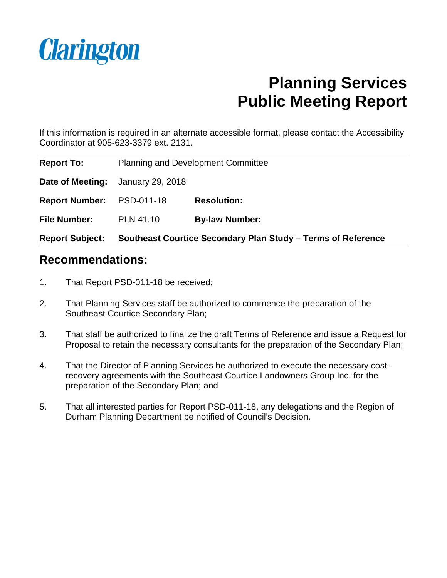

# **Planning Services Public Meeting Report**

If this information is required in an alternate accessible format, please contact the Accessibility Coordinator at 905-623-3379 ext. 2131.

| <b>Report Subject:</b> | Southeast Courtice Secondary Plan Study – Terms of Reference |                       |  |
|------------------------|--------------------------------------------------------------|-----------------------|--|
| <b>File Number:</b>    | <b>PLN 41.10</b>                                             | <b>By-law Number:</b> |  |
| <b>Report Number:</b>  | PSD-011-18                                                   | <b>Resolution:</b>    |  |
| Date of Meeting:       | January 29, 2018                                             |                       |  |
| <b>Report To:</b>      | <b>Planning and Development Committee</b>                    |                       |  |

# **Recommendations:**

- 1. That Report PSD-011-18 be received;
- 2. That Planning Services staff be authorized to commence the preparation of the Southeast Courtice Secondary Plan;
- 3. That staff be authorized to finalize the draft Terms of Reference and issue a Request for Proposal to retain the necessary consultants for the preparation of the Secondary Plan;
- 4. That the Director of Planning Services be authorized to execute the necessary costrecovery agreements with the Southeast Courtice Landowners Group Inc. for the preparation of the Secondary Plan; and
- 5. That all interested parties for Report PSD-011-18, any delegations and the Region of Durham Planning Department be notified of Council's Decision.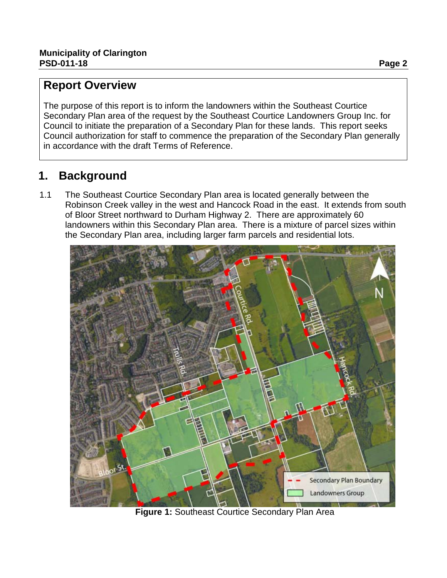# **Report Overview**

The purpose of this report is to inform the landowners within the Southeast Courtice Secondary Plan area of the request by the Southeast Courtice Landowners Group Inc. for Council to initiate the preparation of a Secondary Plan for these lands. This report seeks Council authorization for staff to commence the preparation of the Secondary Plan generally in accordance with the draft Terms of Reference.

# **1. Background**

1.1 The Southeast Courtice Secondary Plan area is located generally between the Robinson Creek valley in the west and Hancock Road in the east. It extends from south of Bloor Street northward to Durham Highway 2. There are approximately 60 landowners within this Secondary Plan area. There is a mixture of parcel sizes within the Secondary Plan area, including larger farm parcels and residential lots.



**Figure 1:** Southeast Courtice Secondary Plan Area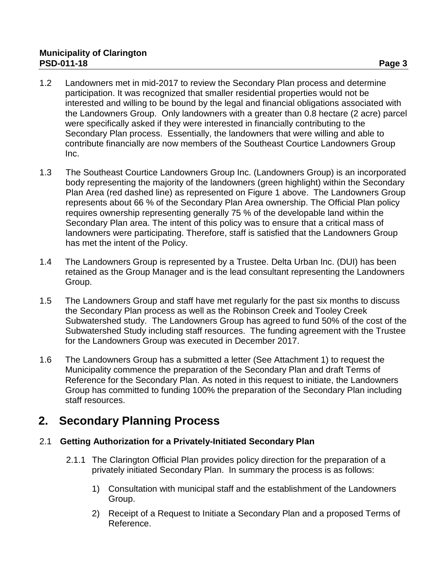## **Municipality of Clarington PSD-011-18 Page 3**

- 1.2 Landowners met in mid-2017 to review the Secondary Plan process and determine participation. It was recognized that smaller residential properties would not be interested and willing to be bound by the legal and financial obligations associated with the Landowners Group. Only landowners with a greater than 0.8 hectare (2 acre) parcel were specifically asked if they were interested in financially contributing to the Secondary Plan process. Essentially, the landowners that were willing and able to contribute financially are now members of the Southeast Courtice Landowners Group Inc.
- 1.3 The Southeast Courtice Landowners Group Inc. (Landowners Group) is an incorporated body representing the majority of the landowners (green highlight) within the Secondary Plan Area (red dashed line) as represented on Figure 1 above. The Landowners Group represents about 66 % of the Secondary Plan Area ownership. The Official Plan policy requires ownership representing generally 75 % of the developable land within the Secondary Plan area. The intent of this policy was to ensure that a critical mass of landowners were participating. Therefore, staff is satisfied that the Landowners Group has met the intent of the Policy.
- 1.4 The Landowners Group is represented by a Trustee. Delta Urban Inc. (DUI) has been retained as the Group Manager and is the lead consultant representing the Landowners Group.
- 1.5 The Landowners Group and staff have met regularly for the past six months to discuss the Secondary Plan process as well as the Robinson Creek and Tooley Creek Subwatershed study. The Landowners Group has agreed to fund 50% of the cost of the Subwatershed Study including staff resources. The funding agreement with the Trustee for the Landowners Group was executed in December 2017.
- 1.6 The Landowners Group has a submitted a letter (See Attachment 1) to request the Municipality commence the preparation of the Secondary Plan and draft Terms of Reference for the Secondary Plan. As noted in this request to initiate, the Landowners Group has committed to funding 100% the preparation of the Secondary Plan including staff resources.

# **2. Secondary Planning Process**

# 2.1 **Getting Authorization for a Privately-Initiated Secondary Plan**

- 2.1.1 The Clarington Official Plan provides policy direction for the preparation of a privately initiated Secondary Plan. In summary the process is as follows:
	- 1) Consultation with municipal staff and the establishment of the Landowners Group.
	- 2) Receipt of a Request to Initiate a Secondary Plan and a proposed Terms of Reference.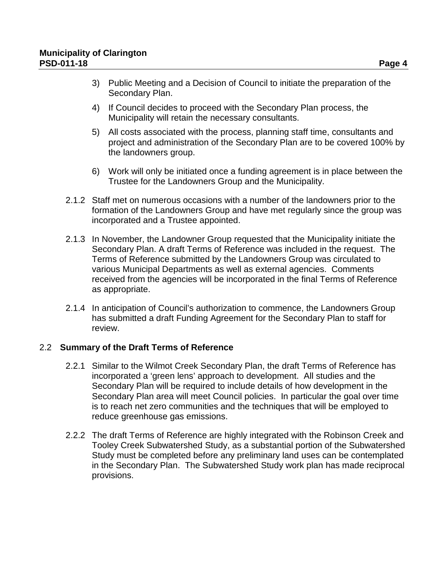- 3) Public Meeting and a Decision of Council to initiate the preparation of the Secondary Plan.
- 4) If Council decides to proceed with the Secondary Plan process, the Municipality will retain the necessary consultants.
- 5) All costs associated with the process, planning staff time, consultants and project and administration of the Secondary Plan are to be covered 100% by the landowners group.
- 6) Work will only be initiated once a funding agreement is in place between the Trustee for the Landowners Group and the Municipality.
- 2.1.2 Staff met on numerous occasions with a number of the landowners prior to the formation of the Landowners Group and have met regularly since the group was incorporated and a Trustee appointed.
- 2.1.3 In November, the Landowner Group requested that the Municipality initiate the Secondary Plan. A draft Terms of Reference was included in the request. The Terms of Reference submitted by the Landowners Group was circulated to various Municipal Departments as well as external agencies. Comments received from the agencies will be incorporated in the final Terms of Reference as appropriate.
- 2.1.4 In anticipation of Council's authorization to commence, the Landowners Group has submitted a draft Funding Agreement for the Secondary Plan to staff for review.

#### 2.2 **Summary of the Draft Terms of Reference**

- 2.2.1 Similar to the Wilmot Creek Secondary Plan, the draft Terms of Reference has incorporated a 'green lens' approach to development. All studies and the Secondary Plan will be required to include details of how development in the Secondary Plan area will meet Council policies. In particular the goal over time is to reach net zero communities and the techniques that will be employed to reduce greenhouse gas emissions.
- 2.2.2 The draft Terms of Reference are highly integrated with the Robinson Creek and Tooley Creek Subwatershed Study, as a substantial portion of the Subwatershed Study must be completed before any preliminary land uses can be contemplated in the Secondary Plan. The Subwatershed Study work plan has made reciprocal provisions.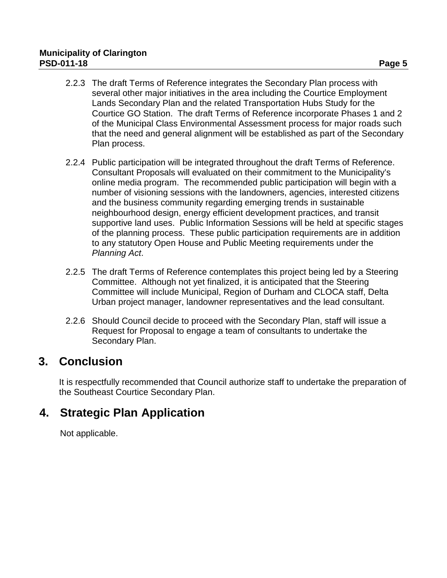- 2.2.3 The draft Terms of Reference integrates the Secondary Plan process with several other major initiatives in the area including the Courtice Employment Lands Secondary Plan and the related Transportation Hubs Study for the Courtice GO Station. The draft Terms of Reference incorporate Phases 1 and 2 of the Municipal Class Environmental Assessment process for major roads such that the need and general alignment will be established as part of the Secondary Plan process.
- 2.2.4 Public participation will be integrated throughout the draft Terms of Reference. Consultant Proposals will evaluated on their commitment to the Municipality's online media program. The recommended public participation will begin with a number of visioning sessions with the landowners, agencies, interested citizens and the business community regarding emerging trends in sustainable neighbourhood design, energy efficient development practices, and transit supportive land uses. Public Information Sessions will be held at specific stages of the planning process. These public participation requirements are in addition to any statutory Open House and Public Meeting requirements under the *Planning Act*.
- 2.2.5 The draft Terms of Reference contemplates this project being led by a Steering Committee. Although not yet finalized, it is anticipated that the Steering Committee will include Municipal, Region of Durham and CLOCA staff, Delta Urban project manager, landowner representatives and the lead consultant.
- 2.2.6 Should Council decide to proceed with the Secondary Plan, staff will issue a Request for Proposal to engage a team of consultants to undertake the Secondary Plan.

# **3. Conclusion**

It is respectfully recommended that Council authorize staff to undertake the preparation of the Southeast Courtice Secondary Plan.

# **4. Strategic Plan Application**

Not applicable.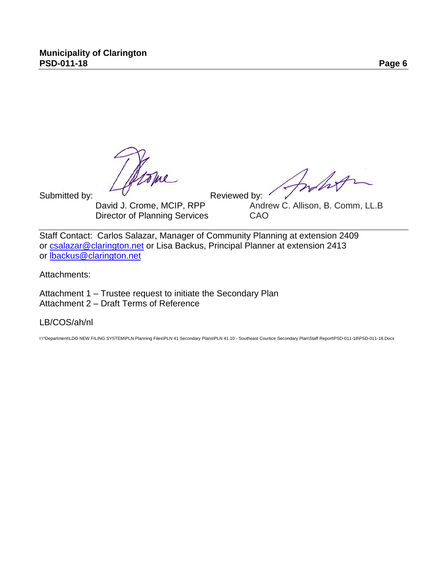Jone

Submitted by: V Crome, MCIP, Reviewed by: '<br>David J. Crome, MCIP, RPP Andre Director of Planning Services CAO

Inhop

Andrew C. Allison, B. Comm, LL.B.

Staff Contact: Carlos Salazar, Manager of Community Planning at extension 2409 or [csalazar@clarington.net](mailto:csalazar@clarington.net) or Lisa Backus, Principal Planner at extension 2413 or [lbackus@clarington.net](mailto:lbackus@clarington.net)

Attachments:

Attachment 1 – Trustee request to initiate the Secondary Plan Attachment 2 – Draft Terms of Reference

A list of interested parties to be notified of Council's decision is on file in the Planning Services Department.

LB/COS/ah/nl

I:\^Department\LDO NEW FILING SYSTEM\PLN Planning Files\PLN 41 Secondary Plans\PLN 41.10 - Southeast Courtice Secondary Plan\Staff Report\PSD-011-18\PSD-011-18.Docx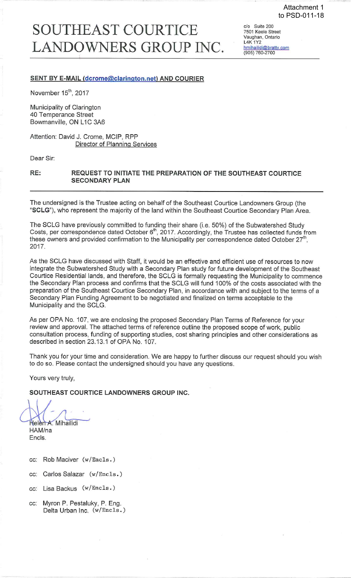# **SOUTHEAST COURTICE** LANDOWNERS GROUP INC.

c/o Suite 200 7501 Keele Street Vaughan, Ontario **L4K 1Y2** hmihailidi@bratty.com<br>(905) 760-2700

#### **SENT BY E-MAIL (dcrome@clarington.net) AND COURIER**

November 15<sup>th</sup>, 2017

Municipality of Clarington 40 Temperance Street Bowmanville, ON L1C 3A6

Attention: David J. Crome, MCIP, RPP **Director of Planning Services** 

Dear Sir:

#### REQUEST TO INITIATE THE PREPARATION OF THE SOUTHEAST COURTICE RE: **SECONDARY PLAN**

The undersigned is the Trustee acting on behalf of the Southeast Courtice Landowners Group (the "SCLG"), who represent the majority of the land within the Southeast Courtice Secondary Plan Area.

The SCLG have previously committed to funding their share (i.e. 50%) of the Subwatershed Study Costs, per correspondence dated October 6<sup>th</sup>, 2017. Accordingly, the Trustee has collected funds from these owners and provided confirmation to the Municipality per correspondence dated October  $27<sup>th</sup>$ 2017.

As the SCLG have discussed with Staff, it would be an effective and efficient use of resources to now integrate the Subwatershed Study with a Secondary Plan study for future development of the Southeast Courtice Residential lands, and therefore, the SCLG is formally requesting the Municipality to commence the Secondary Plan process and confirms that the SCLG will fund 100% of the costs associated with the preparation of the Southeast Courtice Secondary Plan, in accordance with and subject to the terms of a Secondary Plan Funding Agreement to be negotiated and finalized on terms acceptable to the Municipality and the SCLG.

As per OPA No. 107, we are enclosing the proposed Secondary Plan Terms of Reference for your review and approval. The attached terms of reference outline the proposed scope of work, public consultation process, funding of supporting studies, cost sharing principles and other considerations as described in section 23.13.1 of OPA No. 107.

Thank you for your time and consideration. We are happy to further discuss our request should you wish to do so. Please contact the undersigned should you have any questions.

Yours very truly,

## SOUTHEAST COURTICE LANDOWNERS GROUP INC.

Helen A. Mihailidi

HAM/na Encls.

- cc: Rob Maciver (w/Encls.)
- Carlos Salazar (w/Enc1s.) CC.
- cc: Lisa Backus (w/Encls.)
- cc: Myron P. Pestaluky, P. Eng. Delta Urban Inc. (w/Encls.)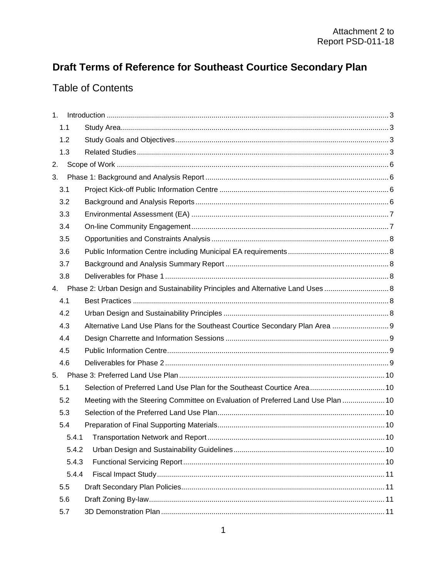# Draft Terms of Reference for Southeast Courtice Secondary Plan

# **Table of Contents**

| 1. |       |                                                                                  |  |  |  |
|----|-------|----------------------------------------------------------------------------------|--|--|--|
|    | 1.1   |                                                                                  |  |  |  |
|    | 1.2   |                                                                                  |  |  |  |
|    | 1.3   |                                                                                  |  |  |  |
| 2. |       |                                                                                  |  |  |  |
| 3. |       |                                                                                  |  |  |  |
|    | 3.1   |                                                                                  |  |  |  |
|    | 3.2   |                                                                                  |  |  |  |
|    | 3.3   |                                                                                  |  |  |  |
|    | 3.4   |                                                                                  |  |  |  |
|    | 3.5   |                                                                                  |  |  |  |
|    | 3.6   |                                                                                  |  |  |  |
|    | 3.7   |                                                                                  |  |  |  |
|    | 3.8   |                                                                                  |  |  |  |
| 4. |       | Phase 2: Urban Design and Sustainability Principles and Alternative Land Uses  8 |  |  |  |
|    | 4.1   |                                                                                  |  |  |  |
|    | 4.2   |                                                                                  |  |  |  |
|    | 4.3   | Alternative Land Use Plans for the Southeast Courtice Secondary Plan Area  9     |  |  |  |
|    | 4.4   |                                                                                  |  |  |  |
|    | 4.5   |                                                                                  |  |  |  |
|    | 4.6   |                                                                                  |  |  |  |
|    | 5.    |                                                                                  |  |  |  |
|    | 5.1   | Selection of Preferred Land Use Plan for the Southeast Courtice Area 10          |  |  |  |
|    | 5.2   | Meeting with the Steering Committee on Evaluation of Preferred Land Use Plan  10 |  |  |  |
|    | 5.3   |                                                                                  |  |  |  |
|    | 5.4   |                                                                                  |  |  |  |
|    |       |                                                                                  |  |  |  |
|    | 5.4.2 |                                                                                  |  |  |  |
|    | 5.4.3 |                                                                                  |  |  |  |
|    | 5.4.4 |                                                                                  |  |  |  |
|    | 5.5   |                                                                                  |  |  |  |
|    | 5.6   |                                                                                  |  |  |  |
|    | 5.7   |                                                                                  |  |  |  |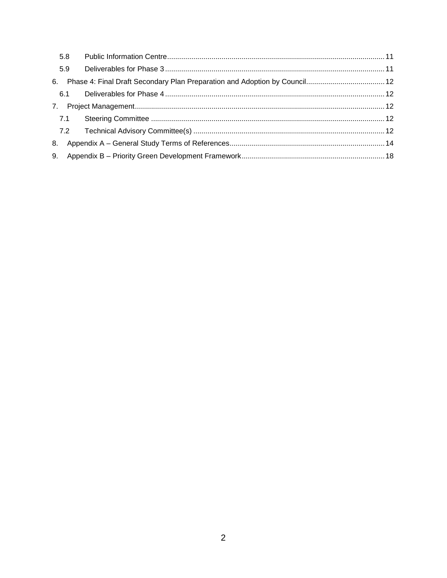| 5.8 |  |  |
|-----|--|--|
| 5.9 |  |  |
| 6.  |  |  |
|     |  |  |
|     |  |  |
| 7.1 |  |  |
|     |  |  |
| 8.  |  |  |
| 9.  |  |  |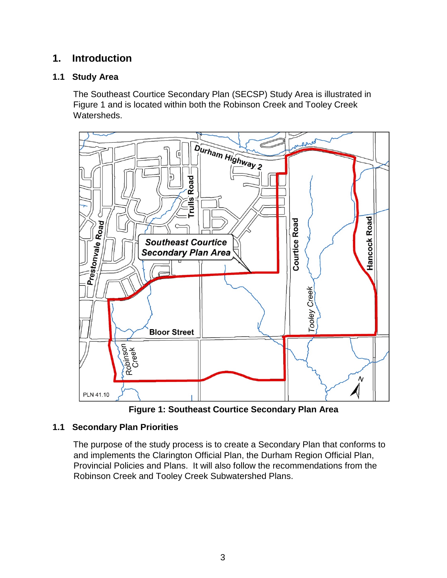# <span id="page-9-0"></span>**1. Introduction**

# <span id="page-9-1"></span>**1.1 Study Area**

The Southeast Courtice Secondary Plan (SECSP) Study Area is illustrated in Figure 1 and is located within both the Robinson Creek and Tooley Creek Watersheds.



**Figure 1: Southeast Courtice Secondary Plan Area**

# <span id="page-9-2"></span>**1.1 Secondary Plan Priorities**

The purpose of the study process is to create a Secondary Plan that conforms to and implements the Clarington Official Plan, the Durham Region Official Plan, Provincial Policies and Plans. It will also follow the recommendations from the Robinson Creek and Tooley Creek Subwatershed Plans.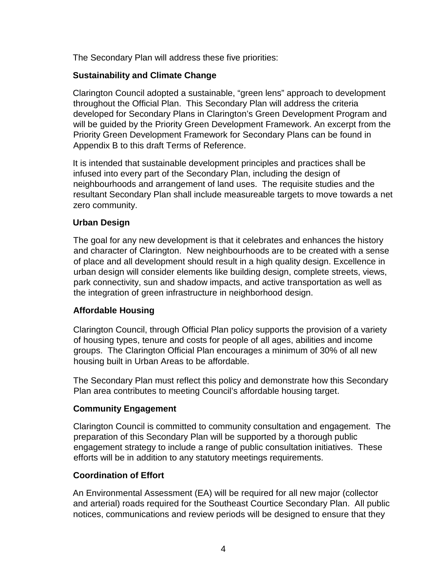The Secondary Plan will address these five priorities:

# **Sustainability and Climate Change**

Clarington Council adopted a sustainable, "green lens" approach to development throughout the Official Plan. This Secondary Plan will address the criteria developed for Secondary Plans in Clarington's Green Development Program and will be guided by the Priority Green Development Framework. An excerpt from the Priority Green Development Framework for Secondary Plans can be found in Appendix B to this draft Terms of Reference.

It is intended that sustainable development principles and practices shall be infused into every part of the Secondary Plan, including the design of neighbourhoods and arrangement of land uses. The requisite studies and the resultant Secondary Plan shall include measureable targets to move towards a net zero community.

# **Urban Design**

The goal for any new development is that it celebrates and enhances the history and character of Clarington. New neighbourhoods are to be created with a sense of place and all development should result in a high quality design. Excellence in urban design will consider elements like building design, complete streets, views, park connectivity, sun and shadow impacts, and active transportation as well as the integration of green infrastructure in neighborhood design.

# **Affordable Housing**

Clarington Council, through Official Plan policy supports the provision of a variety of housing types, tenure and costs for people of all ages, abilities and income groups. The Clarington Official Plan encourages a minimum of 30% of all new housing built in Urban Areas to be affordable.

The Secondary Plan must reflect this policy and demonstrate how this Secondary Plan area contributes to meeting Council's affordable housing target.

# **Community Engagement**

Clarington Council is committed to community consultation and engagement. The preparation of this Secondary Plan will be supported by a thorough public engagement strategy to include a range of public consultation initiatives. These efforts will be in addition to any statutory meetings requirements.

# **Coordination of Effort**

An Environmental Assessment (EA) will be required for all new major (collector and arterial) roads required for the Southeast Courtice Secondary Plan. All public notices, communications and review periods will be designed to ensure that they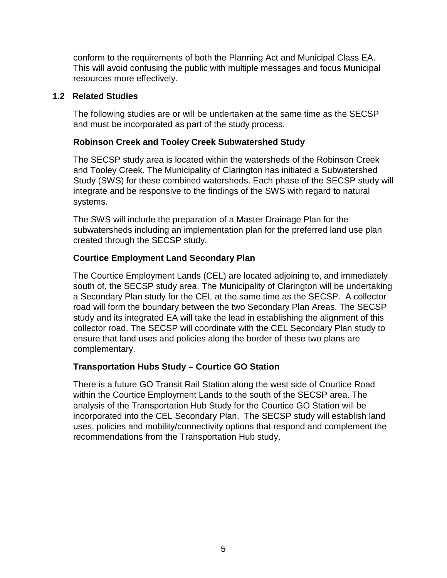conform to the requirements of both the Planning Act and Municipal Class EA. This will avoid confusing the public with multiple messages and focus Municipal resources more effectively.

#### **1.2 Related Studies**

The following studies are or will be undertaken at the same time as the SECSP and must be incorporated as part of the study process.

# **Robinson Creek and Tooley Creek Subwatershed Study**

The SECSP study area is located within the watersheds of the Robinson Creek and Tooley Creek. The Municipality of Clarington has initiated a Subwatershed Study (SWS) for these combined watersheds. Each phase of the SECSP study will integrate and be responsive to the findings of the SWS with regard to natural systems.

The SWS will include the preparation of a Master Drainage Plan for the subwatersheds including an implementation plan for the preferred land use plan created through the SECSP study.

# **Courtice Employment Land Secondary Plan**

The Courtice Employment Lands (CEL) are located adjoining to, and immediately south of, the SECSP study area. The Municipality of Clarington will be undertaking a Secondary Plan study for the CEL at the same time as the SECSP. A collector road will form the boundary between the two Secondary Plan Areas. The SECSP study and its integrated EA will take the lead in establishing the alignment of this collector road. The SECSP will coordinate with the CEL Secondary Plan study to ensure that land uses and policies along the border of these two plans are complementary.

# **Transportation Hubs Study – Courtice GO Station**

There is a future GO Transit Rail Station along the west side of Courtice Road within the Courtice Employment Lands to the south of the SECSP area. The analysis of the Transportation Hub Study for the Courtice GO Station will be incorporated into the CEL Secondary Plan. The SECSP study will establish land uses, policies and mobility/connectivity options that respond and complement the recommendations from the Transportation Hub study.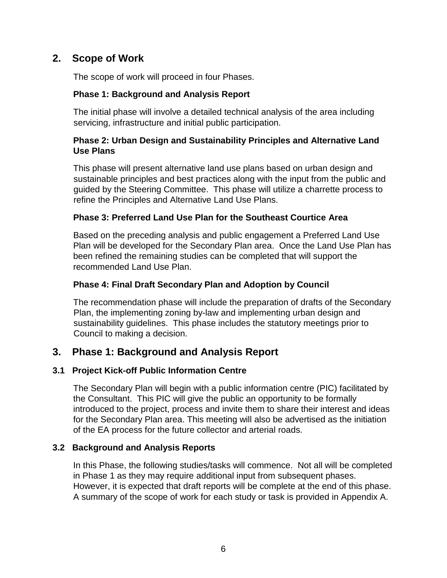# <span id="page-12-0"></span>**2. Scope of Work**

The scope of work will proceed in four Phases.

# **Phase 1: Background and Analysis Report**

The initial phase will involve a detailed technical analysis of the area including servicing, infrastructure and initial public participation.

# **Phase 2: Urban Design and Sustainability Principles and Alternative Land Use Plans**

This phase will present alternative land use plans based on urban design and sustainable principles and best practices along with the input from the public and guided by the Steering Committee. This phase will utilize a charrette process to refine the Principles and Alternative Land Use Plans.

# **Phase 3: Preferred Land Use Plan for the Southeast Courtice Area**

Based on the preceding analysis and public engagement a Preferred Land Use Plan will be developed for the Secondary Plan area. Once the Land Use Plan has been refined the remaining studies can be completed that will support the recommended Land Use Plan.

# **Phase 4: Final Draft Secondary Plan and Adoption by Council**

The recommendation phase will include the preparation of drafts of the Secondary Plan, the implementing zoning by-law and implementing urban design and sustainability guidelines. This phase includes the statutory meetings prior to Council to making a decision.

# <span id="page-12-1"></span>**3. Phase 1: Background and Analysis Report**

# <span id="page-12-2"></span>**3.1 Project Kick-off Public Information Centre**

The Secondary Plan will begin with a public information centre (PIC) facilitated by the Consultant. This PIC will give the public an opportunity to be formally introduced to the project, process and invite them to share their interest and ideas for the Secondary Plan area. This meeting will also be advertised as the initiation of the EA process for the future collector and arterial roads.

# <span id="page-12-3"></span>**3.2 Background and Analysis Reports**

In this Phase, the following studies/tasks will commence. Not all will be completed in Phase 1 as they may require additional input from subsequent phases. However, it is expected that draft reports will be complete at the end of this phase. A summary of the scope of work for each study or task is provided in Appendix A.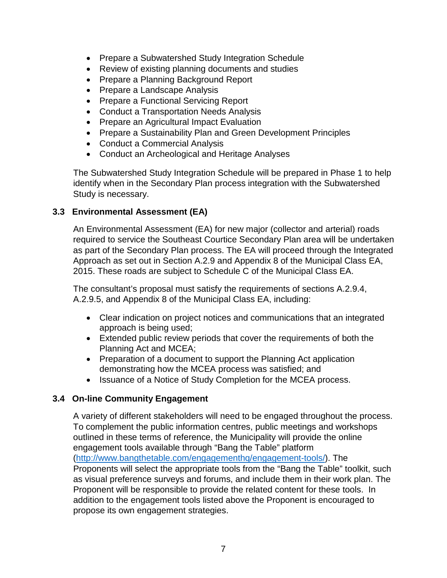- Prepare a Subwatershed Study Integration Schedule
- Review of existing planning documents and studies
- Prepare a Planning Background Report
- Prepare a Landscape Analysis
- Prepare a Functional Servicing Report
- Conduct a Transportation Needs Analysis
- Prepare an Agricultural Impact Evaluation
- Prepare a Sustainability Plan and Green Development Principles
- Conduct a Commercial Analysis
- Conduct an Archeological and Heritage Analyses

The Subwatershed Study Integration Schedule will be prepared in Phase 1 to help identify when in the Secondary Plan process integration with the Subwatershed Study is necessary.

#### <span id="page-13-0"></span>**3.3 Environmental Assessment (EA)**

An Environmental Assessment (EA) for new major (collector and arterial) roads required to service the Southeast Courtice Secondary Plan area will be undertaken as part of the Secondary Plan process. The EA will proceed through the Integrated Approach as set out in Section A.2.9 and Appendix 8 of the Municipal Class EA, 2015. These roads are subject to Schedule C of the Municipal Class EA.

The consultant's proposal must satisfy the requirements of sections A.2.9.4, A.2.9.5, and Appendix 8 of the Municipal Class EA, including:

- Clear indication on project notices and communications that an integrated approach is being used;
- Extended public review periods that cover the requirements of both the Planning Act and MCEA;
- Preparation of a document to support the Planning Act application demonstrating how the MCEA process was satisfied; and
- Issuance of a Notice of Study Completion for the MCEA process.

# <span id="page-13-1"></span>**3.4 On-line Community Engagement**

A variety of different stakeholders will need to be engaged throughout the process. To complement the public information centres, public meetings and workshops outlined in these terms of reference, the Municipality will provide the online engagement tools available through "Bang the Table" platform [\(http://www.bangthetable.com/engagementhq/engagement-tools/\)](http://www.bangthetable.com/engagementhq/engagement-tools/). The Proponents will select the appropriate tools from the "Bang the Table" toolkit, such as visual preference surveys and forums, and include them in their work plan. The Proponent will be responsible to provide the related content for these tools. In addition to the engagement tools listed above the Proponent is encouraged to propose its own engagement strategies.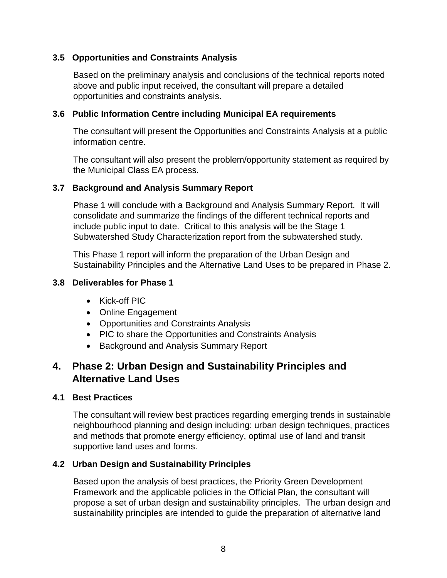# <span id="page-14-0"></span>**3.5 Opportunities and Constraints Analysis**

Based on the preliminary analysis and conclusions of the technical reports noted above and public input received, the consultant will prepare a detailed opportunities and constraints analysis.

#### <span id="page-14-1"></span>**3.6 Public Information Centre including Municipal EA requirements**

The consultant will present the Opportunities and Constraints Analysis at a public information centre.

The consultant will also present the problem/opportunity statement as required by the Municipal Class EA process.

#### <span id="page-14-2"></span>**3.7 Background and Analysis Summary Report**

Phase 1 will conclude with a Background and Analysis Summary Report. It will consolidate and summarize the findings of the different technical reports and include public input to date. Critical to this analysis will be the Stage 1 Subwatershed Study Characterization report from the subwatershed study.

This Phase 1 report will inform the preparation of the Urban Design and Sustainability Principles and the Alternative Land Uses to be prepared in Phase 2.

#### <span id="page-14-3"></span>**3.8 Deliverables for Phase 1**

- Kick-off PIC
- Online Engagement
- Opportunities and Constraints Analysis
- PIC to share the Opportunities and Constraints Analysis
- Background and Analysis Summary Report

# <span id="page-14-4"></span>**4. Phase 2: Urban Design and Sustainability Principles and Alternative Land Uses**

#### <span id="page-14-5"></span>**4.1 Best Practices**

The consultant will review best practices regarding emerging trends in sustainable neighbourhood planning and design including: urban design techniques, practices and methods that promote energy efficiency, optimal use of land and transit supportive land uses and forms.

#### <span id="page-14-6"></span>**4.2 Urban Design and Sustainability Principles**

Based upon the analysis of best practices, the Priority Green Development Framework and the applicable policies in the Official Plan, the consultant will propose a set of urban design and sustainability principles. The urban design and sustainability principles are intended to guide the preparation of alternative land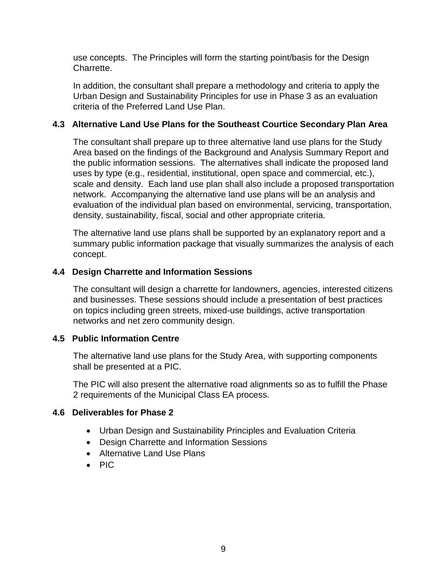use concepts. The Principles will form the starting point/basis for the Design Charrette.

In addition, the consultant shall prepare a methodology and criteria to apply the Urban Design and Sustainability Principles for use in Phase 3 as an evaluation criteria of the Preferred Land Use Plan.

## <span id="page-15-0"></span>**4.3 Alternative Land Use Plans for the Southeast Courtice Secondary Plan Area**

The consultant shall prepare up to three alternative land use plans for the Study Area based on the findings of the Background and Analysis Summary Report and the public information sessions. The alternatives shall indicate the proposed land uses by type (e.g., residential, institutional, open space and commercial, etc.), scale and density. Each land use plan shall also include a proposed transportation network. Accompanying the alternative land use plans will be an analysis and evaluation of the individual plan based on environmental, servicing, transportation, density, sustainability, fiscal, social and other appropriate criteria.

The alternative land use plans shall be supported by an explanatory report and a summary public information package that visually summarizes the analysis of each concept.

#### <span id="page-15-1"></span>**4.4 Design Charrette and Information Sessions**

The consultant will design a charrette for landowners, agencies, interested citizens and businesses. These sessions should include a presentation of best practices on topics including green streets, mixed-use buildings, active transportation networks and net zero community design.

#### <span id="page-15-2"></span>**4.5 Public Information Centre**

The alternative land use plans for the Study Area, with supporting components shall be presented at a PIC.

The PIC will also present the alternative road alignments so as to fulfill the Phase 2 requirements of the Municipal Class EA process.

#### <span id="page-15-3"></span>**4.6 Deliverables for Phase 2**

- Urban Design and Sustainability Principles and Evaluation Criteria
- Design Charrette and Information Sessions
- Alternative Land Use Plans
- PIC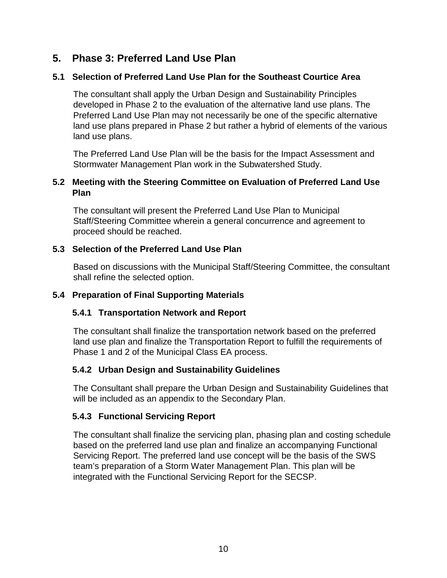# <span id="page-16-0"></span>**5. Phase 3: Preferred Land Use Plan**

# <span id="page-16-1"></span>**5.1 Selection of Preferred Land Use Plan for the Southeast Courtice Area**

The consultant shall apply the Urban Design and Sustainability Principles developed in Phase 2 to the evaluation of the alternative land use plans. The Preferred Land Use Plan may not necessarily be one of the specific alternative land use plans prepared in Phase 2 but rather a hybrid of elements of the various land use plans.

The Preferred Land Use Plan will be the basis for the Impact Assessment and Stormwater Management Plan work in the Subwatershed Study.

# <span id="page-16-2"></span>**5.2 Meeting with the Steering Committee on Evaluation of Preferred Land Use Plan**

The consultant will present the Preferred Land Use Plan to Municipal Staff/Steering Committee wherein a general concurrence and agreement to proceed should be reached.

# <span id="page-16-3"></span>**5.3 Selection of the Preferred Land Use Plan**

Based on discussions with the Municipal Staff/Steering Committee, the consultant shall refine the selected option.

# <span id="page-16-5"></span><span id="page-16-4"></span>**5.4 Preparation of Final Supporting Materials**

# **5.4.1 Transportation Network and Report**

The consultant shall finalize the transportation network based on the preferred land use plan and finalize the Transportation Report to fulfill the requirements of Phase 1 and 2 of the Municipal Class EA process.

# <span id="page-16-6"></span>**5.4.2 Urban Design and Sustainability Guidelines**

The Consultant shall prepare the Urban Design and Sustainability Guidelines that will be included as an appendix to the Secondary Plan.

# <span id="page-16-7"></span>**5.4.3 Functional Servicing Report**

The consultant shall finalize the servicing plan, phasing plan and costing schedule based on the preferred land use plan and finalize an accompanying Functional Servicing Report. The preferred land use concept will be the basis of the SWS team's preparation of a Storm Water Management Plan. This plan will be integrated with the Functional Servicing Report for the SECSP.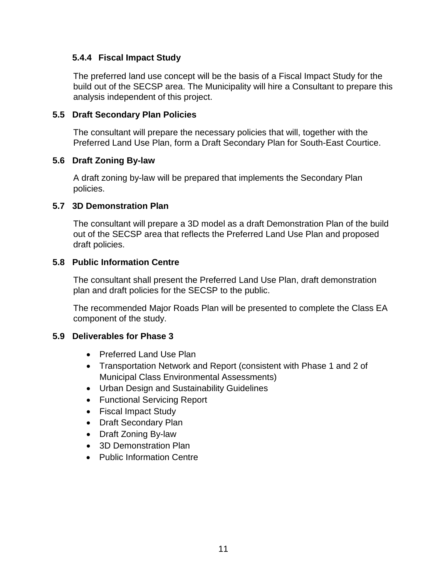#### <span id="page-17-0"></span>**5.4.4 Fiscal Impact Study**

The preferred land use concept will be the basis of a Fiscal Impact Study for the build out of the SECSP area. The Municipality will hire a Consultant to prepare this analysis independent of this project.

## <span id="page-17-1"></span>**5.5 Draft Secondary Plan Policies**

The consultant will prepare the necessary policies that will, together with the Preferred Land Use Plan, form a Draft Secondary Plan for South-East Courtice.

#### <span id="page-17-2"></span>**5.6 Draft Zoning By-law**

A draft zoning by-law will be prepared that implements the Secondary Plan policies.

#### <span id="page-17-3"></span>**5.7 3D Demonstration Plan**

The consultant will prepare a 3D model as a draft Demonstration Plan of the build out of the SECSP area that reflects the Preferred Land Use Plan and proposed draft policies.

#### <span id="page-17-4"></span>**5.8 Public Information Centre**

The consultant shall present the Preferred Land Use Plan, draft demonstration plan and draft policies for the SECSP to the public.

The recommended Major Roads Plan will be presented to complete the Class EA component of the study.

# <span id="page-17-5"></span>**5.9 Deliverables for Phase 3**

- Preferred Land Use Plan
- Transportation Network and Report (consistent with Phase 1 and 2 of Municipal Class Environmental Assessments)
- Urban Design and Sustainability Guidelines
- Functional Servicing Report
- Fiscal Impact Study
- Draft Secondary Plan
- Draft Zoning By-law
- 3D Demonstration Plan
- Public Information Centre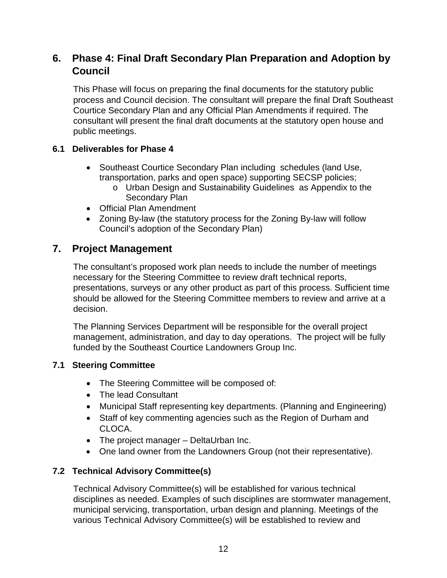# <span id="page-18-0"></span>**6. Phase 4: Final Draft Secondary Plan Preparation and Adoption by Council**

This Phase will focus on preparing the final documents for the statutory public process and Council decision. The consultant will prepare the final Draft Southeast Courtice Secondary Plan and any Official Plan Amendments if required. The consultant will present the final draft documents at the statutory open house and public meetings.

# <span id="page-18-1"></span>**6.1 Deliverables for Phase 4**

- Southeast Courtice Secondary Plan including schedules (land Use, transportation, parks and open space) supporting SECSP policies;
	- o Urban Design and Sustainability Guidelines as Appendix to the Secondary Plan
- Official Plan Amendment
- Zoning By-law (the statutory process for the Zoning By-law will follow Council's adoption of the Secondary Plan)

# <span id="page-18-2"></span>**7. Project Management**

The consultant's proposed work plan needs to include the number of meetings necessary for the Steering Committee to review draft technical reports, presentations, surveys or any other product as part of this process. Sufficient time should be allowed for the Steering Committee members to review and arrive at a decision.

The Planning Services Department will be responsible for the overall project management, administration, and day to day operations. The project will be fully funded by the Southeast Courtice Landowners Group Inc.

# <span id="page-18-3"></span>**7.1 Steering Committee**

- The Steering Committee will be composed of:
- The lead Consultant
- Municipal Staff representing key departments. (Planning and Engineering)
- Staff of key commenting agencies such as the Region of Durham and CLOCA.
- The project manager DeltaUrban Inc.
- One land owner from the Landowners Group (not their representative).

# <span id="page-18-4"></span>**7.2 Technical Advisory Committee(s)**

Technical Advisory Committee(s) will be established for various technical disciplines as needed. Examples of such disciplines are stormwater management, municipal servicing, transportation, urban design and planning. Meetings of the various Technical Advisory Committee(s) will be established to review and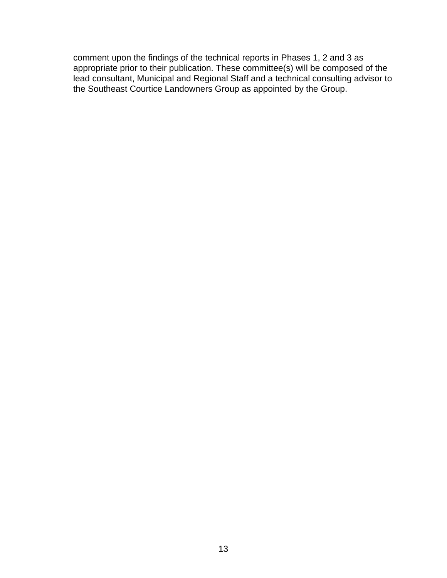comment upon the findings of the technical reports in Phases 1, 2 and 3 as appropriate prior to their publication. These committee(s) will be composed of the lead consultant, Municipal and Regional Staff and a technical consulting advisor to the Southeast Courtice Landowners Group as appointed by the Group.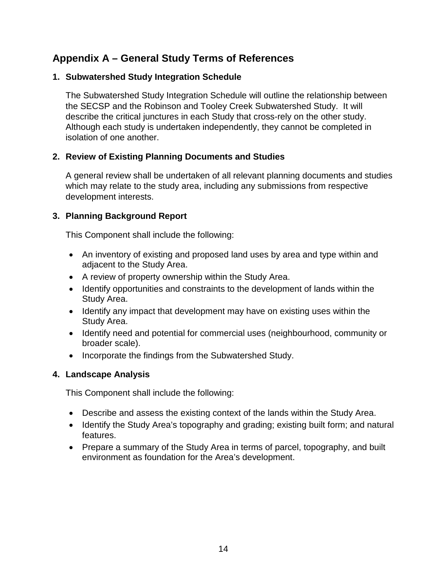# <span id="page-20-0"></span>**Appendix A – General Study Terms of References**

# **1. Subwatershed Study Integration Schedule**

The Subwatershed Study Integration Schedule will outline the relationship between the SECSP and the Robinson and Tooley Creek Subwatershed Study. It will describe the critical junctures in each Study that cross-rely on the other study. Although each study is undertaken independently, they cannot be completed in isolation of one another.

#### **2. Review of Existing Planning Documents and Studies**

A general review shall be undertaken of all relevant planning documents and studies which may relate to the study area, including any submissions from respective development interests.

#### **3. Planning Background Report**

This Component shall include the following:

- An inventory of existing and proposed land uses by area and type within and adjacent to the Study Area.
- A review of property ownership within the Study Area.
- Identify opportunities and constraints to the development of lands within the Study Area.
- Identify any impact that development may have on existing uses within the Study Area.
- Identify need and potential for commercial uses (neighbourhood, community or broader scale).
- Incorporate the findings from the Subwatershed Study.

#### **4. Landscape Analysis**

This Component shall include the following:

- Describe and assess the existing context of the lands within the Study Area.
- Identify the Study Area's topography and grading; existing built form; and natural features.
- Prepare a summary of the Study Area in terms of parcel, topography, and built environment as foundation for the Area's development.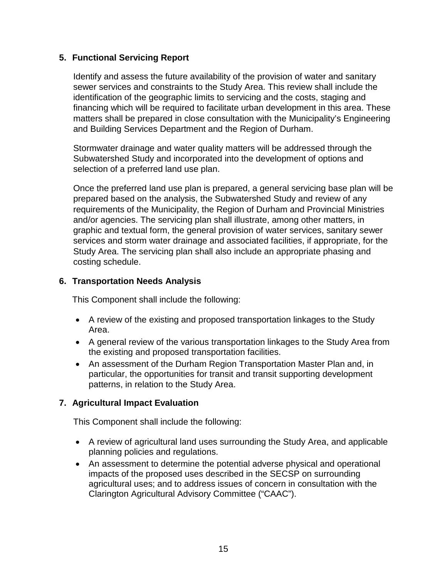## **5. Functional Servicing Report**

Identify and assess the future availability of the provision of water and sanitary sewer services and constraints to the Study Area. This review shall include the identification of the geographic limits to servicing and the costs, staging and financing which will be required to facilitate urban development in this area. These matters shall be prepared in close consultation with the Municipality's Engineering and Building Services Department and the Region of Durham.

Stormwater drainage and water quality matters will be addressed through the Subwatershed Study and incorporated into the development of options and selection of a preferred land use plan.

Once the preferred land use plan is prepared, a general servicing base plan will be prepared based on the analysis, the Subwatershed Study and review of any requirements of the Municipality, the Region of Durham and Provincial Ministries and/or agencies. The servicing plan shall illustrate, among other matters, in graphic and textual form, the general provision of water services, sanitary sewer services and storm water drainage and associated facilities, if appropriate, for the Study Area. The servicing plan shall also include an appropriate phasing and costing schedule.

#### **6. Transportation Needs Analysis**

This Component shall include the following:

- A review of the existing and proposed transportation linkages to the Study Area.
- A general review of the various transportation linkages to the Study Area from the existing and proposed transportation facilities.
- An assessment of the Durham Region Transportation Master Plan and, in particular, the opportunities for transit and transit supporting development patterns, in relation to the Study Area.

# **7. Agricultural Impact Evaluation**

This Component shall include the following:

- A review of agricultural land uses surrounding the Study Area, and applicable planning policies and regulations.
- An assessment to determine the potential adverse physical and operational impacts of the proposed uses described in the SECSP on surrounding agricultural uses; and to address issues of concern in consultation with the Clarington Agricultural Advisory Committee ("CAAC").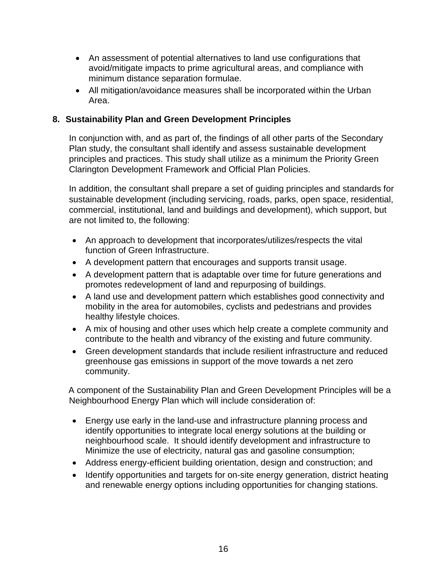- An assessment of potential alternatives to land use configurations that avoid/mitigate impacts to prime agricultural areas, and compliance with minimum distance separation formulae.
- All mitigation/avoidance measures shall be incorporated within the Urban Area.

# **8. Sustainability Plan and Green Development Principles**

In conjunction with, and as part of, the findings of all other parts of the Secondary Plan study, the consultant shall identify and assess sustainable development principles and practices. This study shall utilize as a minimum the Priority Green Clarington Development Framework and Official Plan Policies.

In addition, the consultant shall prepare a set of guiding principles and standards for sustainable development (including servicing, roads, parks, open space, residential, commercial, institutional, land and buildings and development), which support, but are not limited to, the following:

- An approach to development that incorporates/utilizes/respects the vital function of Green Infrastructure.
- A development pattern that encourages and supports transit usage.
- A development pattern that is adaptable over time for future generations and promotes redevelopment of land and repurposing of buildings.
- A land use and development pattern which establishes good connectivity and mobility in the area for automobiles, cyclists and pedestrians and provides healthy lifestyle choices.
- A mix of housing and other uses which help create a complete community and contribute to the health and vibrancy of the existing and future community.
- Green development standards that include resilient infrastructure and reduced greenhouse gas emissions in support of the move towards a net zero community.

A component of the Sustainability Plan and Green Development Principles will be a Neighbourhood Energy Plan which will include consideration of:

- Energy use early in the land-use and infrastructure planning process and identify opportunities to integrate local energy solutions at the building or neighbourhood scale. It should identify development and infrastructure to Minimize the use of electricity, natural gas and gasoline consumption;
- Address energy-efficient building orientation, design and construction; and
- Identify opportunities and targets for on-site energy generation, district heating and renewable energy options including opportunities for changing stations.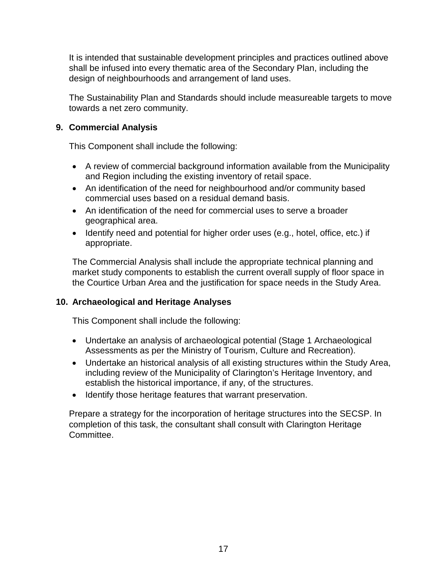It is intended that sustainable development principles and practices outlined above shall be infused into every thematic area of the Secondary Plan, including the design of neighbourhoods and arrangement of land uses.

The Sustainability Plan and Standards should include measureable targets to move towards a net zero community.

# **9. Commercial Analysis**

This Component shall include the following:

- A review of commercial background information available from the Municipality and Region including the existing inventory of retail space.
- An identification of the need for neighbourhood and/or community based commercial uses based on a residual demand basis.
- An identification of the need for commercial uses to serve a broader geographical area.
- Identify need and potential for higher order uses (e.g., hotel, office, etc.) if appropriate.

The Commercial Analysis shall include the appropriate technical planning and market study components to establish the current overall supply of floor space in the Courtice Urban Area and the justification for space needs in the Study Area.

# **10. Archaeological and Heritage Analyses**

This Component shall include the following:

- Undertake an analysis of archaeological potential (Stage 1 Archaeological Assessments as per the Ministry of Tourism, Culture and Recreation).
- Undertake an historical analysis of all existing structures within the Study Area, including review of the Municipality of Clarington's Heritage Inventory, and establish the historical importance, if any, of the structures.
- Identify those heritage features that warrant preservation.

Prepare a strategy for the incorporation of heritage structures into the SECSP. In completion of this task, the consultant shall consult with Clarington Heritage Committee.